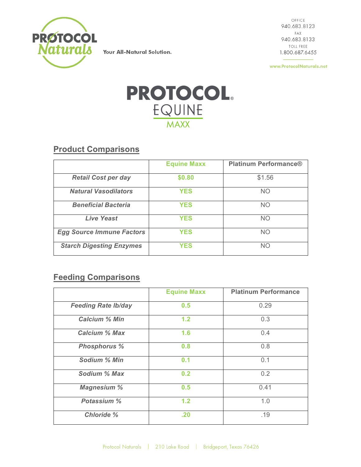

Your All-Natural Solution.

 $\bigcirc$ FFICE 940.683.8123 FAX 940.683.8133 TOLL FREE 1.800.687.6455

www.ProtocolNaturals.net



**Product Comparisons**

|                                  | <b>Equine Maxx</b> | <b>Platinum Performance®</b> |
|----------------------------------|--------------------|------------------------------|
| <b>Retail Cost per day</b>       | \$0.80             | \$1.56                       |
| <b>Natural Vasodilators</b>      | <b>YES</b>         | <b>NO</b>                    |
| <b>Beneficial Bacteria</b>       | <b>YES</b>         | <b>NO</b>                    |
| <b>Live Yeast</b>                | <b>YES</b>         | <b>NO</b>                    |
| <b>Egg Source Immune Factors</b> | <b>YES</b>         | <b>NO</b>                    |
| <b>Starch Digesting Enzymes</b>  | <b>YES</b>         | <b>NO</b>                    |

## **Feeding Comparisons**

|                            | <b>Equine Maxx</b> | <b>Platinum Performance</b> |
|----------------------------|--------------------|-----------------------------|
| <b>Feeding Rate Ib/day</b> | 0.5                | 0.29                        |
| <b>Calcium % Min</b>       | 1.2                | 0.3                         |
| <b>Calcium % Max</b>       | 1.6                | 0.4                         |
| <b>Phosphorus %</b>        | 0.8                | 0.8                         |
| Sodium % Min               | 0.1                | 0.1                         |
| Sodium % Max               | 0.2                | 0.2                         |
| <b>Magnesium %</b>         | 0.5                | 0.41                        |
| Potassium %                | 1.2                | 1.0                         |
| <b>Chloride %</b>          | .20                | .19                         |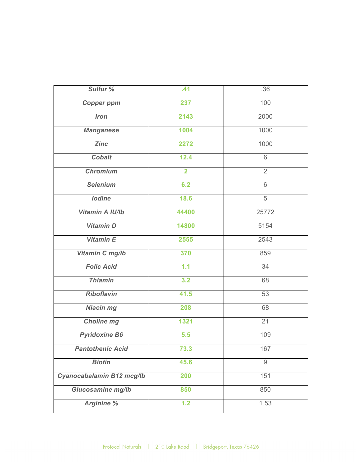| Sulfur %                  | .41            | .36            |
|---------------------------|----------------|----------------|
| <b>Copper ppm</b>         | 237            | 100            |
| <b>Iron</b>               | 2143           | 2000           |
| <b>Manganese</b>          | 1004           | 1000           |
| <b>Zinc</b>               | 2272           | 1000           |
| <b>Cobalt</b>             | 12.4           | 6              |
| <b>Chromium</b>           | $\overline{2}$ | $\overline{2}$ |
| <b>Selenium</b>           | 6.2            | 6              |
| <b>lodine</b>             | 18.6           | 5              |
| Vitamin A IU/Ib           | 44400          | 25772          |
| <b>Vitamin D</b>          | 14800          | 5154           |
| Vitamin E                 | 2555           | 2543           |
| Vitamin C mg/lb           | 370            | 859            |
| <b>Folic Acid</b>         | 1.1            | 34             |
| <b>Thiamin</b>            | 3.2            | 68             |
| <b>Riboflavin</b>         | 41.5           | 53             |
| <b>Niacin mg</b>          | 208            | 68             |
| <b>Choline mg</b>         | 1321           | 21             |
| <b>Pyridoxine B6</b>      | 5.5            | 109            |
| <b>Pantothenic Acid</b>   | 73.3           | 167            |
| <b>Biotin</b>             | 45.6           | $\overline{9}$ |
| Cyanocabalamin B12 mcg/lb | 200            | 151            |
| Glucosamine mg/lb         | 850            | 850            |
| <b>Arginine %</b>         | 1.2            | 1.53           |
|                           |                |                |